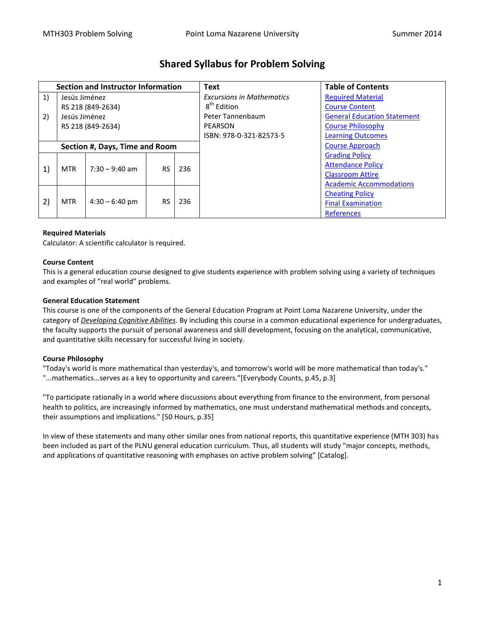| <b>Section and Instructor Information</b> |                   |                  |           |     | <b>Text</b>                      | <b>Table of Contents</b>           |
|-------------------------------------------|-------------------|------------------|-----------|-----|----------------------------------|------------------------------------|
| 1)                                        | Jesús Jiménez     |                  |           |     | <b>Excursions in Mathematics</b> | <b>Required Material</b>           |
|                                           | RS 218 (849-2634) |                  |           |     | 8 <sup>th</sup> Edition          | <b>Course Content</b>              |
| 2)                                        | Jesús Jiménez     |                  |           |     | Peter Tannenbaum                 | <b>General Education Statement</b> |
|                                           | RS 218 (849-2634) |                  |           |     | PEARSON                          | <b>Course Philosophy</b>           |
|                                           |                   |                  |           |     | ISBN: 978-0-321-82573-5          | <b>Learning Outcomes</b>           |
| Section #, Days, Time and Room            |                   |                  |           |     |                                  | <b>Course Approach</b>             |
|                                           |                   | $7:30 - 9:40$ am | <b>RS</b> | 236 |                                  | <b>Grading Policy</b>              |
| 1)                                        | <b>MTR</b>        |                  |           |     |                                  | <b>Attendance Policy</b>           |
|                                           |                   |                  |           |     |                                  | <b>Classroom Attire</b>            |
|                                           |                   |                  |           |     |                                  | <b>Academic Accommodations</b>     |
| 2)                                        | <b>MTR</b>        | $4:30 - 6:40$ pm | <b>RS</b> | 236 |                                  | <b>Cheating Policy</b>             |
|                                           |                   |                  |           |     |                                  | <b>Final Examination</b>           |
|                                           |                   |                  |           |     |                                  | <b>References</b>                  |

# **Shared Syllabus for Problem Solving**

## <span id="page-0-0"></span>**Required Materials**

Calculator: A scientific calculator is required.

#### <span id="page-0-1"></span>**Course Content**

This is a general education course designed to give students experience with problem solving using a variety of techniques and examples of "real world" problems.

#### <span id="page-0-2"></span>**General Education Statement**

This course is one of the components of the General Education Program at Point Loma Nazarene University, under the category of *Developing Cognitive Abilities.* By including this course in a common educational experience for undergraduates, the faculty supports the pursuit of personal awareness and skill development, focusing on the analytical, communicative, and quantitative skills necessary for successful living in society.

## <span id="page-0-3"></span>**Course Philosophy**

"Today's world is more mathematical than yesterday's, and tomorrow's world will be more mathematical than today's." "...mathematics...serves as a key to opportunity and careers."[Everybody Counts, p.45, p.3]

"To participate rationally in a world where discussions about everything from finance to the environment, from personal health to politics, are increasingly informed by mathematics, one must understand mathematical methods and concepts, their assumptions and implications." [50 Hours, p.35]

In view of these statements and many other similar ones from national reports, this quantitative experience (MTH 303) has been included as part of the PLNU general education curriculum. Thus, all students will study "major concepts, methods, and applications of quantitative reasoning with emphases on active problem solving" [Catalog].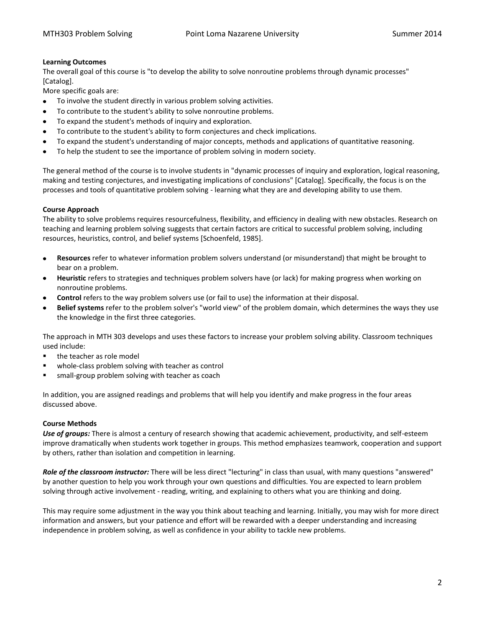## <span id="page-1-0"></span>**Learning Outcomes**

The overall goal of this course is "to develop the ability to solve nonroutine problems through dynamic processes" [Catalog].

More specific goals are:

- To involve the student directly in various problem solving activities.
- To contribute to the student's ability to solve nonroutine problems.
- To expand the student's methods of inquiry and exploration.
- To contribute to the student's ability to form conjectures and check implications.
- To expand the student's understanding of major concepts, methods and applications of quantitative reasoning.
- To help the student to see the importance of problem solving in modern society.

The general method of the course is to involve students in "dynamic processes of inquiry and exploration, logical reasoning, making and testing conjectures, and investigating implications of conclusions" [Catalog]. Specifically, the focus is on the processes and tools of quantitative problem solving - learning what they are and developing ability to use them.

## <span id="page-1-1"></span>**Course Approach**

The ability to solve problems requires resourcefulness, flexibility, and efficiency in dealing with new obstacles. Research on teaching and learning problem solving suggests that certain factors are critical to successful problem solving, including resources, heuristics, control, and belief systems [Schoenfeld, 1985].

- **Resources** refer to whatever information problem solvers understand (or misunderstand) that might be brought to  $\bullet$ bear on a problem.
- **Heuristic** refers to strategies and techniques problem solvers have (or lack) for making progress when working on nonroutine problems.
- **Control** refers to the way problem solvers use (or fail to use) the information at their disposal.
- **Belief systems** refer to the problem solver's "world view" of the problem domain, which determines the ways they use the knowledge in the first three categories.

The approach in MTH 303 develops and uses these factors to increase your problem solving ability. Classroom techniques used include:

- the teacher as role model
- whole-class problem solving with teacher as control
- small-group problem solving with teacher as coach

In addition, you are assigned readings and problems that will help you identify and make progress in the four areas discussed above.

## **Course Methods**

*Use of groups:* There is almost a century of research showing that academic achievement, productivity, and self-esteem improve dramatically when students work together in groups. This method emphasizes teamwork, cooperation and support by others, rather than isolation and competition in learning.

*Role of the classroom instructor:* There will be less direct "lecturing" in class than usual, with many questions "answered" by another question to help you work through your own questions and difficulties. You are expected to learn problem solving through active involvement - reading, writing, and explaining to others what you are thinking and doing.

This may require some adjustment in the way you think about teaching and learning. Initially, you may wish for more direct information and answers, but your patience and effort will be rewarded with a deeper understanding and increasing independence in problem solving, as well as confidence in your ability to tackle new problems.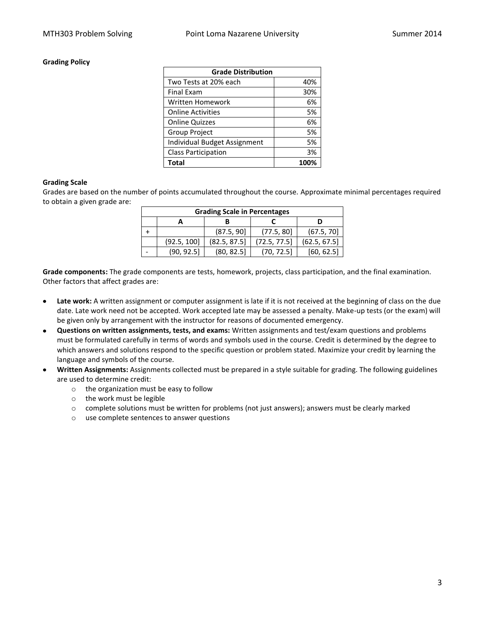### <span id="page-2-0"></span>**Grading Policy**

| <b>Grade Distribution</b>    |      |  |
|------------------------------|------|--|
| Two Tests at 20% each        | 40%  |  |
| <b>Final Exam</b>            | 30%  |  |
| Written Homework             | 6%   |  |
| <b>Online Activities</b>     | 5%   |  |
| <b>Online Quizzes</b>        | 6%   |  |
| Group Project                | 5%   |  |
| Individual Budget Assignment | 5%   |  |
| <b>Class Participation</b>   | 3%   |  |
| Total                        | 100% |  |

#### **Grading Scale**

Grades are based on the number of points accumulated throughout the course. Approximate minimal percentages required to obtain a given grade are:

| <b>Grading Scale in Percentages</b> |             |              |              |              |  |  |  |  |
|-------------------------------------|-------------|--------------|--------------|--------------|--|--|--|--|
|                                     |             |              |              |              |  |  |  |  |
|                                     |             | (87.5, 90]   | (77.5, 80)   | (67.5, 70)   |  |  |  |  |
|                                     | (92.5, 100] | (82.5, 87.5) | (72.5, 77.5) | (62.5, 67.5) |  |  |  |  |
|                                     | (90, 92.5)  | (80, 82.5)   | (70, 72.5)   | [60, 62.5]   |  |  |  |  |

**Grade components:** The grade components are tests, homework, projects, class participation, and the final examination. Other factors that affect grades are:

- **Late work:** A written assignment or computer assignment is late if it is not received at the beginning of class on the due  $\bullet$ date. Late work need not be accepted. Work accepted late may be assessed a penalty. Make-up tests (or the exam) will be given only by arrangement with the instructor for reasons of documented emergency.
- **Questions on written assignments, tests, and exams:** Written assignments and test/exam questions and problems  $\bullet$ must be formulated carefully in terms of words and symbols used in the course. Credit is determined by the degree to which answers and solutions respond to the specific question or problem stated. Maximize your credit by learning the language and symbols of the course.
- **Written Assignments:** Assignments collected must be prepared in a style suitable for grading. The following guidelines are used to determine credit:
	- o the organization must be easy to follow
	- o the work must be legible
	- $\circ$  complete solutions must be written for problems (not just answers); answers must be clearly marked
	- o use complete sentences to answer questions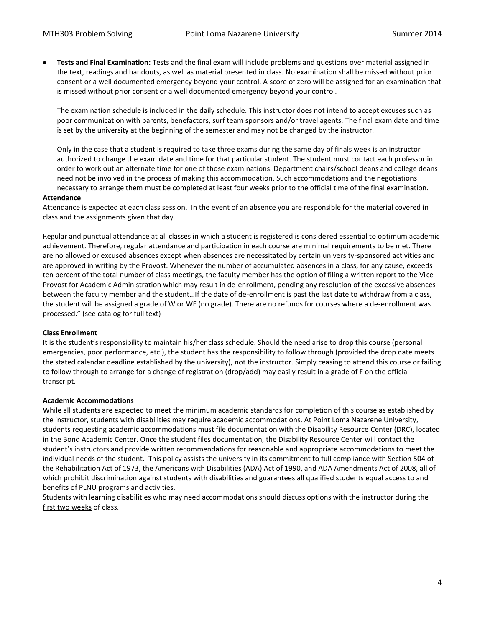**Tests and Final Examination:** Tests and the final exam will include problems and questions over material assigned in the text, readings and handouts, as well as material presented in class. No examination shall be missed without prior consent or a well documented emergency beyond your control. A score of zero will be assigned for an examination that is missed without prior consent or a well documented emergency beyond your control.

The examination schedule is included in the daily schedule. This instructor does not intend to accept excuses such as poor communication with parents, benefactors, surf team sponsors and/or travel agents. The final exam date and time is set by the university at the beginning of the semester and may not be changed by the instructor.

Only in the case that a student is required to take three exams during the same day of finals week is an instructor authorized to change the exam date and time for that particular student. The student must contact each professor in order to work out an alternate time for one of those examinations. Department chairs/school deans and college deans need not be involved in the process of making this accommodation. Such accommodations and the negotiations necessary to arrange them must be completed at least four weeks prior to the official time of the final examination.

#### <span id="page-3-0"></span>**Attendance**

Attendance is expected at each class session. In the event of an absence you are responsible for the material covered in class and the assignments given that day.

Regular and punctual attendance at all classes in which a student is registered is considered essential to optimum academic achievement. Therefore, regular attendance and participation in each course are minimal requirements to be met. There are no allowed or excused absences except when absences are necessitated by certain university-sponsored activities and are approved in writing by the Provost. Whenever the number of accumulated absences in a class, for any cause, exceeds ten percent of the total number of class meetings, the faculty member has the option of filing a written report to the Vice Provost for Academic Administration which may result in de-enrollment, pending any resolution of the excessive absences between the faculty member and the student…If the date of de-enrollment is past the last date to withdraw from a class, the student will be assigned a grade of W or WF (no grade). There are no refunds for courses where a de-enrollment was processed." (see catalog for full text)

## **Class Enrollment**

It is the student's responsibility to maintain his/her class schedule. Should the need arise to drop this course (personal emergencies, poor performance, etc.), the student has the responsibility to follow through (provided the drop date meets the stated calendar deadline established by the university), not the instructor. Simply ceasing to attend this course or failing to follow through to arrange for a change of registration (drop/add) may easily result in a grade of F on the official transcript.

## **Academic Accommodations**

While all students are expected to meet the minimum academic standards for completion of this course as established by the instructor, students with disabilities may require academic accommodations. At Point Loma Nazarene University, students requesting academic accommodations must file documentation with the Disability Resource Center (DRC), located in the Bond Academic Center. Once the student files documentation, the Disability Resource Center will contact the student's instructors and provide written recommendations for reasonable and appropriate accommodations to meet the individual needs of the student. This policy assists the university in its commitment to full compliance with Section 504 of the Rehabilitation Act of 1973, the Americans with Disabilities (ADA) Act of 1990, and ADA Amendments Act of 2008, all of which prohibit discrimination against students with disabilities and guarantees all qualified students equal access to and benefits of PLNU programs and activities.

<span id="page-3-1"></span>Students with learning disabilities who may need accommodations should discuss options with the instructor during the first two weeks of class.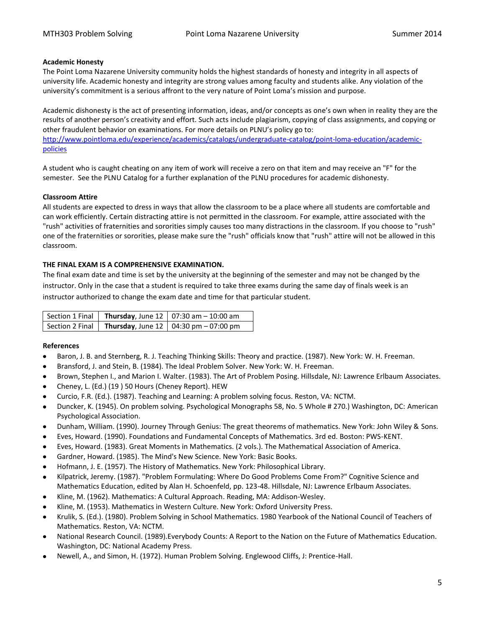## **Academic Honesty**

The Point Loma Nazarene University community holds the highest standards of honesty and integrity in all aspects of university life. Academic honesty and integrity are strong values among faculty and students alike. Any violation of the university's commitment is a serious affront to the very nature of Point Loma's mission and purpose.

Academic dishonesty is the act of presenting information, ideas, and/or concepts as one's own when in reality they are the results of another person's creativity and effort. Such acts include plagiarism, copying of class assignments, and copying or other fraudulent behavior on examinations. For more details on PLNU's policy go to: [http://www.pointloma.edu/experience/academics/catalogs/undergraduate-catalog/point-loma-education/academic](http://www.pointloma.edu/experience/academics/catalogs/undergraduate-catalog/point-loma-education/academic-policies)[policies](http://www.pointloma.edu/experience/academics/catalogs/undergraduate-catalog/point-loma-education/academic-policies)

A student who is caught cheating on any item of work will receive a zero on that item and may receive an "F" for the semester. See the PLNU Catalog for a further explanation of the PLNU procedures for academic dishonesty.

## **Classroom Attire**

All students are expected to dress in ways that allow the classroom to be a place where all students are comfortable and can work efficiently. Certain distracting attire is not permitted in the classroom. For example, attire associated with the "rush" activities of fraternities and sororities simply causes too many distractions in the classroom. If you choose to "rush" one of the fraternities or sororities, please make sure the "rush" officials know that "rush" attire will not be allowed in this classroom.

## <span id="page-4-0"></span>**THE FINAL EXAM IS A COMPREHENSIVE EXAMINATION.**

The final exam date and time is set by the university at the beginning of the semester and may not be changed by the instructor. Only in the case that a student is required to take three exams during the same day of finals week is an instructor authorized to change the exam date and time for that particular student.

|  | Section 1 Final   Thursday, June 12   07:30 am $-$ 10:00 am |
|--|-------------------------------------------------------------|
|  | Section 2 Final   Thursday, June 12   04:30 pm $-$ 07:00 pm |

## <span id="page-4-1"></span>**References**

- Baron, J. B. and Sternberg, R. J. Teaching Thinking Skills: Theory and practice. (1987). New York: W. H. Freeman.
- Bransford, J. and Stein, B. (1984). The Ideal Problem Solver. New York: W. H. Freeman.
- Brown, Stephen I., and Marion I. Walter. (1983). The Art of Problem Posing. Hillsdale, NJ: Lawrence Erlbaum Associates.
- Cheney, L. (Ed.) (19 ) 50 Hours (Cheney Report). HEW
- Curcio, F.R. (Ed.). (1987). Teaching and Learning: A problem solving focus. Reston, VA: NCTM.
- Duncker, K. (1945). On problem solving. Psychological Monographs 58, No. 5 Whole # 270.) Washington, DC: American Psychological Association.
- Dunham, William. (1990). Journey Through Genius: The great theorems of mathematics. New York: John Wiley & Sons.
- Eves, Howard. (1990). Foundations and Fundamental Concepts of Mathematics. 3rd ed. Boston: PWS-KENT.
- Eves, Howard. (1983). Great Moments in Mathematics. (2 vols.). The Mathematical Association of America.
- Gardner, Howard. (1985). The Mind's New Science. New York: Basic Books.
- Hofmann, J. E. (1957). The History of Mathematics. New York: Philosophical Library.
- Kilpatrick, Jeremy. (1987). "Problem Formulating: Where Do Good Problems Come From?" Cognitive Science and Mathematics Education, edited by Alan H. Schoenfeld, pp. 123-48. Hillsdale, NJ: Lawrence Erlbaum Associates.
- Kline, M. (1962). Mathematics: A Cultural Approach. Reading, MA: Addison-Wesley.
- Kline, M. (1953). Mathematics in Western Culture. New York: Oxford University Press.
- Krulik, S. (Ed.). (1980). Problem Solving in School Mathematics. 1980 Yearbook of the National Council of Teachers of Mathematics. Reston, VA: NCTM.
- National Research Council. (1989).Everybody Counts: A Report to the Nation on the Future of Mathematics Education. Washington, DC: National Academy Press.
- Newell, A., and Simon, H. (1972). Human Problem Solving. Englewood Cliffs, J: Prentice-Hall.